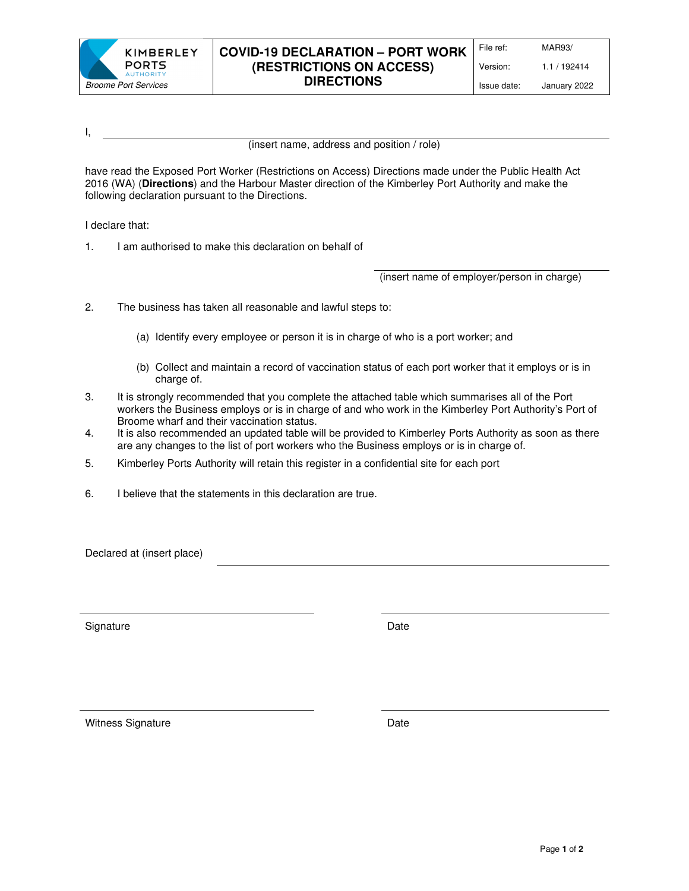

## **COVID-19 DECLARATION – PORT WORK (RESTRICTIONS ON ACCESS) DIRECTIONS**

Issue date: January 2022

I,

(insert name, address and position / role)

have read the Exposed Port Worker (Restrictions on Access) Directions made under the Public Health Act 2016 (WA) (**Directions**) and the Harbour Master direction of the Kimberley Port Authority and make the following declaration pursuant to the Directions.

I declare that:

1. I am authorised to make this declaration on behalf of

(insert name of employer/person in charge)

- 2. The business has taken all reasonable and lawful steps to:
	- (a) Identify every employee or person it is in charge of who is a port worker; and
	- (b) Collect and maintain a record of vaccination status of each port worker that it employs or is in charge of.
- 3. It is strongly recommended that you complete the attached table which summarises all of the Port workers the Business employs or is in charge of and who work in the Kimberley Port Authority's Port of Broome wharf and their vaccination status.
- 4. It is also recommended an updated table will be provided to Kimberley Ports Authority as soon as there are any changes to the list of port workers who the Business employs or is in charge of.
- 5. Kimberley Ports Authority will retain this register in a confidential site for each port
- 6. I believe that the statements in this declaration are true.

Declared at (insert place)

Signature Date Date Date

Witness Signature **Date** Date **Date**